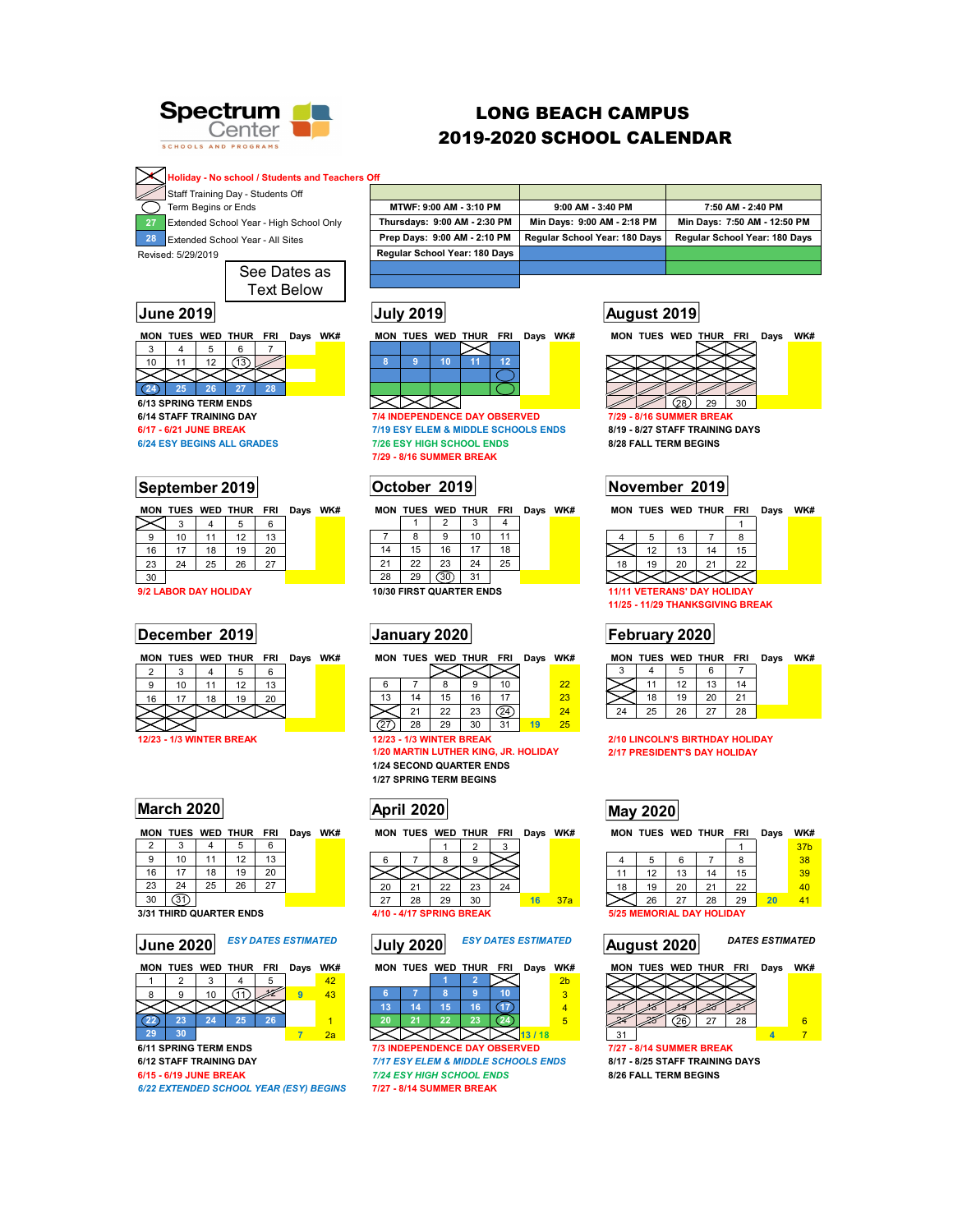

# LONG BEACH CAMPUS 2019-2020 SCHOOL CALENDAR

**4 Holiday - No school / Students and Teachers Off** 

**Staff Training Day - Students Off**  $\overline{\sum}$  Term Begins or Ends

**27** Extended School Year - High School Only

Revised: 5/29/2019 **28** Extended School Year - All Sites

> See Dates as Text Below

**MON TUES WED THUR FRI Days WK# MON TUES WED THUR FRI Days WK# MON TUES WED THUR FRI Days WK#**   $3 \quad 4 \quad 5$ 

10 11 12 **13** 2 **24** 25 26 27 28

**6/24 ESY BEGINS ALL GRADES** 



|  | <b>MON TUES WED THUR FRI Davs WK</b> |  |  |
|--|--------------------------------------|--|--|
|  |                                      |  |  |
|  |                                      |  |  |

| 9        | 10         |    | 12 | 13 |  |  |  |  |  |  |
|----------|------------|----|----|----|--|--|--|--|--|--|
| 16       | $\sqrt{ }$ | 18 | 19 | 20 |  |  |  |  |  |  |
| 23       | 24         | 25 | 26 |    |  |  |  |  |  |  |
| 30       |            |    |    |    |  |  |  |  |  |  |
| $50 - 1$ |            |    |    |    |  |  |  |  |  |  |

**9/2 LABOR DAY HOLIDAY** 

## **December 2019 January 2020 February 2020**

|       |                          |     |    | . . |  |      |
|-------|--------------------------|-----|----|-----|--|------|
|       |                          |     |    |     |  |      |
|       |                          |     | 13 |     |  | 6    |
| 16    | 8                        | ٠G, |    |     |  | 13   |
|       |                          |     |    |     |  |      |
|       |                          |     |    |     |  |      |
| 10100 | <b>AID MUNITED DOEAU</b> |     |    |     |  | 1010 |

## **March 2020 April 2020 May 2020**

|    |    |    | MON TUES WED THUR FRI |    | Days WK# |
|----|----|----|-----------------------|----|----------|
| 2  | 3  |    | 5                     | 6  |          |
| 9  | 10 | 11 | 12                    | 13 |          |
| 16 | 17 | 18 | 19                    | 20 |          |
| 23 | 24 | 25 | 26                    | 27 |          |
| 30 |    |    |                       |    |          |

**3/31 THIRD QUARTER ENDS** 4/10 - 4/17 SPRING BREAK 5/25 MEMORIAL DAY HOLIDAY



*6/22 EXTENDED SCHOOL YEAR (ESY) BEGINS* **7/27 - 8/14 SUMMER BREAK** 

| MTWF: 9:00 AM - 3:10 PM       | $9:00$ AM $-3:40$ PM          | 7:50 AM - 2:40 PM             |
|-------------------------------|-------------------------------|-------------------------------|
| Thursdays: 9:00 AM - 2:30 PM  | Min Days: 9:00 AM - 2:18 PM   | Min Days: 7:50 AM - 12:50 PM  |
| Prep Days: 9:00 AM - 2:10 PM  | Regular School Year: 180 Days | Regular School Year: 180 Days |
| Regular School Year: 180 Days |                               |                               |
|                               |                               |                               |



**6/14 STAFF TRAINING DAY 7/4 INDEPENDENCE DAY OBSERVED 7/29 - 8/16 SUMMER BREAK 6/17 - 6/21 JUNE BREAK 6/21 JUNE BREAK** 7/19 ESY ELEM & MIDDLE SCHOOLS ENDS 8/19 - 8/27 STAFF TRAINING DAYS<br>1/26 ESY BEGINS ALL GRADES 7/26 ESY HIGH SCHOOL ENDS 8/28 FALL TERM BEGINS

**7/29 - 8/16 SUMMER BREAK** 

MON TUES WED THUR FRI Days WK# MON TUES WED THUR FRI Days WK#

|    |                         |    | 10 | 11 |  |  |  |  |  |  |
|----|-------------------------|----|----|----|--|--|--|--|--|--|
| 14 | 15                      | 16 | 17 | 18 |  |  |  |  |  |  |
| 21 | 22                      | 23 | 24 | 25 |  |  |  |  |  |  |
| 28 | 29                      | 30 | 31 |    |  |  |  |  |  |  |
|    | 0/30 FIRST QUARTER ENDS |    |    |    |  |  |  |  |  |  |

**MON TUES WED THUR FRI Days WK# MON TUES WED THUR FRI Days WK# MON TUES WED THUR FRI Days WK#** 

| 6  |    |    |    | m  |    |  |
|----|----|----|----|----|----|--|
| 13 | 14 | 15 | 16 | 17 | 43 |  |
|    |    | 22 | 23 |    |    |  |

27 28 29 30 31 **19** 25

**1/20 MARTIN LUTHER KING, JR. HOLIDAY 1/24 SECOND QUARTER ENDS 1/27 SPRING TERM BEGINS** 

| 20  |    | 22 | 23 | 24 |    |     |  |
|-----|----|----|----|----|----|-----|--|
| , י | 28 |    | ٩n |    | 16 | 37a |  |

## **June 2020** *ESY DATES ESTIMATED* **July 2020** *ESY DATES ESTIMATED* **August 2020** *DATES ESTIMATED*

|    |    |    | MON TUES WED THUR FRI | Days WK# |                |
|----|----|----|-----------------------|----------|----------------|
|    |    |    |                       |          | 2 <sub>b</sub> |
| R  |    |    |                       |          | з              |
| 13 | 14 | 15 | 16                    |          |                |
| 20 | 21 | 22 | 23                    |          |                |
|    |    |    |                       | 13/18    |                |

**6/11 SPRING TERM ENDS**<br>**6/12 STAFF TRAINING DAY 7/17** TEST ELEM & MIDDLE SCHOOLS ENDS 8/17 - 8/25 STAFF TRAINING DAYS **6/12 STAFF TRAINING DAY** *7/17 ESY ELEM & MIDDLE SCHOOLS ENDS* **8/17 - 8/25 STAFF TRAINING DAYS 6/15 - 6/19 JUNE BREAK** *7/24 ESY HIGH SCHOOL ENDS* **8/26 FALL TERM BEGINS** 

# **June 2019 July 2019 August 2019**



## **September 2019 October 2019 November 2019**

|    | 5                                  | 6  |    | 8  |  |  |  |  |  |  |
|----|------------------------------------|----|----|----|--|--|--|--|--|--|
|    | 12                                 | 13 | 14 | 15 |  |  |  |  |  |  |
| 18 | 19                                 | 20 | 21 | 22 |  |  |  |  |  |  |
|    |                                    |    |    |    |  |  |  |  |  |  |
|    | <b>11/11 VETERANS' DAY HOLIDAY</b> |    |    |    |  |  |  |  |  |  |

**11/25 - 11/29 THANKSGIVING BREAK** 

|  |  | MON TUES WED THUR FRI Days WK# |  |
|--|--|--------------------------------|--|
|  |  |                                |  |

|  | 18 | 19 |  |  |
|--|----|----|--|--|
|  | 25 | 26 |  |  |
|  |    |    |  |  |

**12/23 - 1/3 WINTER BREAK 12/10 LINCOLN'S BIRTHDAY HOLIDAY** 1/20 MARTIN LUTHER KING, JR. HOLIDAY 12/17 PRESIDENT'S DAY HOLIDAY

### **MON TUES WED THUR FRI Days WK#** MON TUES WED THUR FRI Days WK# 37**b**

|  |    |    |    |    | <u>31 D</u> |  |
|--|----|----|----|----|-------------|--|
|  | э  |    |    |    | 38          |  |
|  |    | 14 | 15 |    | 39          |  |
|  | 19 |    |    |    |             |  |
|  |    | 28 |    | 20 |             |  |
|  |    |    |    |    |             |  |



31 **4** 7